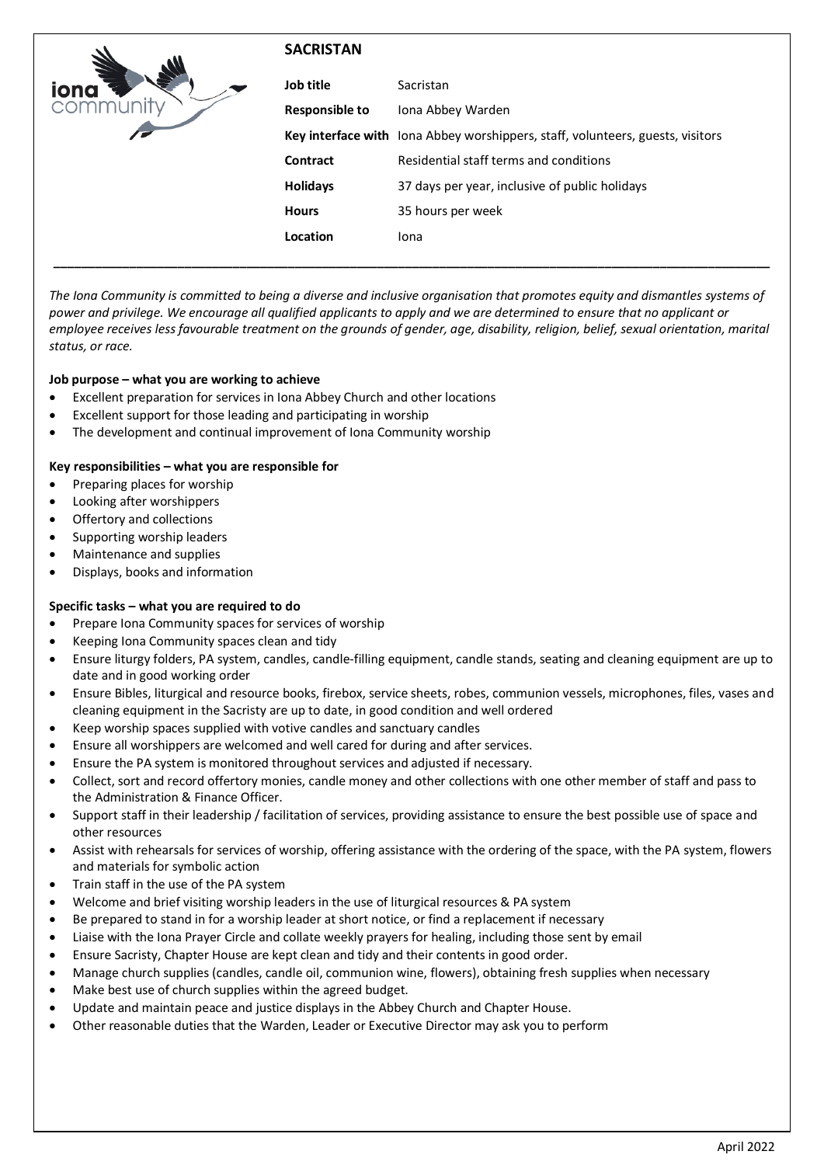|             | <b>SACRISTAN</b>      |                                                                                |
|-------------|-----------------------|--------------------------------------------------------------------------------|
| <b>IONG</b> | Job title             | Sacristan                                                                      |
|             | <b>Responsible to</b> | Iona Abbey Warden                                                              |
|             |                       | Key interface with lona Abbey worshippers, staff, volunteers, guests, visitors |
|             | Contract              | Residential staff terms and conditions                                         |
|             | <b>Holidays</b>       | 37 days per year, inclusive of public holidays                                 |
|             | <b>Hours</b>          | 35 hours per week                                                              |
|             | Location              | Iona                                                                           |
|             |                       |                                                                                |

*The Iona Community is committed to being a diverse and inclusive organisation that promotes equity and dismantles systems of power and privilege. We encourage all qualified applicants to apply and we are determined to ensure that no applicant or employee receives less favourable treatment on the grounds of gender, age, disability, religion, belief, sexual orientation, marital status, or race.*

## **Job purpose – what you are working to achieve**

- Excellent preparation for services in Iona Abbey Church and other locations
- Excellent support for those leading and participating in worship
- The development and continual improvement of Iona Community worship

## **Key responsibilities – what you are responsible for**

- Preparing places for worship
- Looking after worshippers
- Offertory and collections
- Supporting worship leaders
- Maintenance and supplies
- Displays, books and information

### **Specific tasks – what you are required to do**

- Prepare Iona Community spaces for services of worship
- Keeping Iona Community spaces clean and tidy
- Ensure liturgy folders, PA system, candles, candle-filling equipment, candle stands, seating and cleaning equipment are up to date and in good working order
- Ensure Bibles, liturgical and resource books, firebox, service sheets, robes, communion vessels, microphones, files, vases and cleaning equipment in the Sacristy are up to date, in good condition and well ordered
- Keep worship spaces supplied with votive candles and sanctuary candles
- Ensure all worshippers are welcomed and well cared for during and after services.
- Ensure the PA system is monitored throughout services and adjusted if necessary.
- Collect, sort and record offertory monies, candle money and other collections with one other member of staff and pass to the Administration & Finance Officer.
- Support staff in their leadership / facilitation of services, providing assistance to ensure the best possible use of space and other resources
- Assist with rehearsals for services of worship, offering assistance with the ordering of the space, with the PA system, flowers and materials for symbolic action
- Train staff in the use of the PA system
- Welcome and brief visiting worship leaders in the use of liturgical resources & PA system
- Be prepared to stand in for a worship leader at short notice, or find a replacement if necessary
- Liaise with the Iona Prayer Circle and collate weekly prayers for healing, including those sent by email
- Ensure Sacristy, Chapter House are kept clean and tidy and their contents in good order.
- Manage church supplies (candles, candle oil, communion wine, flowers), obtaining fresh supplies when necessary
- Make best use of church supplies within the agreed budget.
- Update and maintain peace and justice displays in the Abbey Church and Chapter House.
- Other reasonable duties that the Warden, Leader or Executive Director may ask you to perform